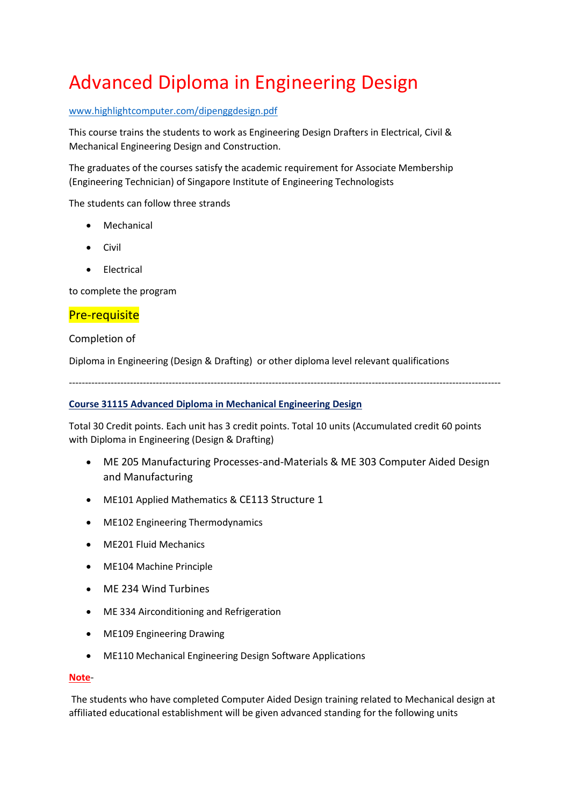# Advanced Diploma in Engineering Design

### [www.highlightcomputer.com/dipenggdesign.pdf](http://www.highlightcomputer.com/dipenggdesign.pdf)

This course trains the students to work as Engineering Design Drafters in Electrical, Civil & Mechanical Engineering Design and Construction.

The graduates of the courses satisfy the academic requirement for Associate Membership (Engineering Technician) of Singapore Institute of Engineering Technologists

The students can follow three strands

- Mechanical
- Civil
- **•** Electrical

to complete the program

# Pre-requisite

#### Completion of

Diploma in Engineering (Design & Drafting) or other diploma level relevant qualifications

--------------------------------------------------------------------------------------------------------------------------------------

#### **Course 31115 Advanced Diploma in Mechanical Engineering Design**

Total 30 Credit points. Each unit has 3 credit points. Total 10 units (Accumulated credit 60 points with Diploma in Engineering (Design & Drafting)

- [ME 205 Manufacturing Processes-and-Materials](http://www.highlightcomputer.com/Diploma%20&%20Advanced%20Diploma%20in%20Mechanical%20Engineering%20Course%20Detailed%20Contents.htm#s9) & [ME 303 Computer Aided Design](http://www.highlightcomputer.com/Diploma%20&%20Advanced%20Diploma%20in%20Mechanical%20Engineering%20Course%20Detailed%20Contents.htm#s17)  [and Manufacturing](http://www.highlightcomputer.com/Diploma%20&%20Advanced%20Diploma%20in%20Mechanical%20Engineering%20Course%20Detailed%20Contents.htm#s17)
- ME101 Applied Mathematics & [CE113 Structure 1](http://www.highlightcomputer.com/Diploma%20&%20Advanced%20Diploma%20in%20Civil%20Engineering%20Course%20Detailed%20Contents.htm#j10)
- ME102 Engineering Thermodynamics
- ME201 Fluid Mechanics
- ME104 Machine Principle
- [ME 234 Wind Turbines](http://www.highlightcomputer.com/Diploma%20&%20Advanced%20Diploma%20in%20Mechanical%20Engineering%20Course%20Detailed%20Contents.htm#s14)
- [ME 334 Airconditioning and Refrigeration](http://www.highlightcomputer.com/Diploma%20&%20Advanced%20Diploma%20in%20Civil%20Engineering%20Course%20Detailed%20Contents.htm#s19)
- ME109 Engineering Drawing
- ME110 Mechanical Engineering Design Software Applications

#### **Note**-

The students who have completed Computer Aided Design training related to Mechanical design at affiliated educational establishment will be given advanced standing for the following units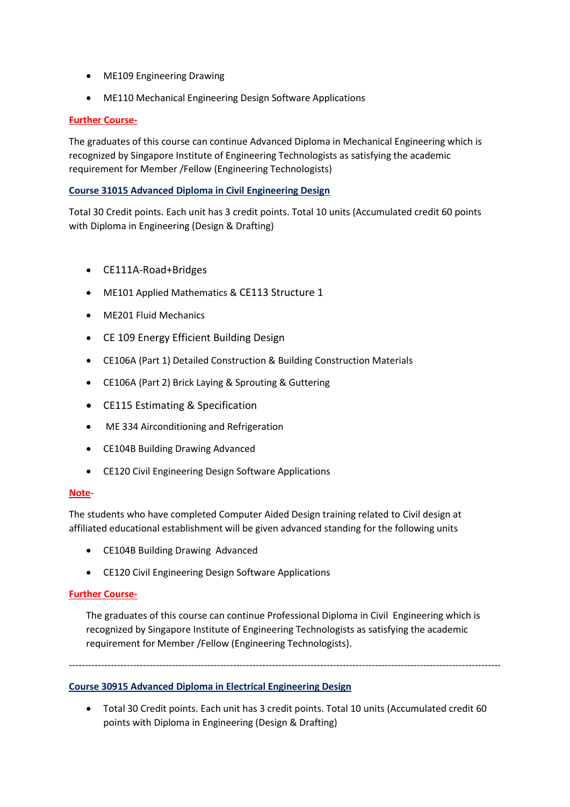- ME109 Engineering Drawing
- ME110 Mechanical Engineering Design Software Applications

#### **Further Course-**

The graduates of this course can continue Advanced Diploma in Mechanical Engineering which is recognized by Singapore Institute of Engineering Technologists as satisfying the academic requirement for Member /Fellow (Engineering Technologists)

#### **Course 31015 Advanced Diploma in Civil Engineering Design**

Total 30 Credit points. Each unit has 3 credit points. Total 10 units (Accumulated credit 60 points with Diploma in Engineering (Design & Drafting)

- [CE111A-Road+Bridges](http://www.highlightcomputer.com/Diploma%20&%20Advanced%20Diploma%20in%20Civil%20Engineering%20Course%20Detailed%20Contents.htm#j13)
- ME101 Applied Mathematics & [CE113 Structure 1](http://www.highlightcomputer.com/Diploma%20&%20Advanced%20Diploma%20in%20Civil%20Engineering%20Course%20Detailed%20Contents.htm#j10)
- ME201 Fluid Mechanics
- [CE 109 Energy Efficient Building Design](http://www.highlightcomputer.com/Diploma%20&%20Advanced%20Diploma%20in%20Civil%20Engineering%20Course%20Detailed%20Contents.htm#d)
- CE106A (Part 1) Detailed Construction & Building Construction Materials
- CE106A (Part 2) Brick Laying & Sprouting & Guttering
- [CE115 Estimating &](http://www.highlightcomputer.com/Diploma%20&%20Advanced%20Diploma%20in%20Civil%20Engineering%20Course%20Detailed%20Contents.htm#j12) Specification
- [ME 334 Airconditioning and Refrigeration](http://www.highlightcomputer.com/Diploma%20&%20Advanced%20Diploma%20in%20Civil%20Engineering%20Course%20Detailed%20Contents.htm#s19)
- CE104B Building Drawing Advanced
- CE120 Civil Engineering Design Software Applications

#### **Note**-

The students who have completed Computer Aided Design training related to Civil design at affiliated educational establishment will be given advanced standing for the following units

- CE104B Building Drawing Advanced
- CE120 Civil Engineering Design Software Applications

#### **Further Course-**

The graduates of this course can continue Professional Diploma in Civil Engineering which is recognized by Singapore Institute of Engineering Technologists as satisfying the academic requirement for Member /Fellow (Engineering Technologists).

--------------------------------------------------------------------------------------------------------------------------------------

# **Course 30915 Advanced Diploma in Electrical Engineering Design**

 Total 30 Credit points. Each unit has 3 credit points. Total 10 units (Accumulated credit 60 points with Diploma in Engineering (Design & Drafting)